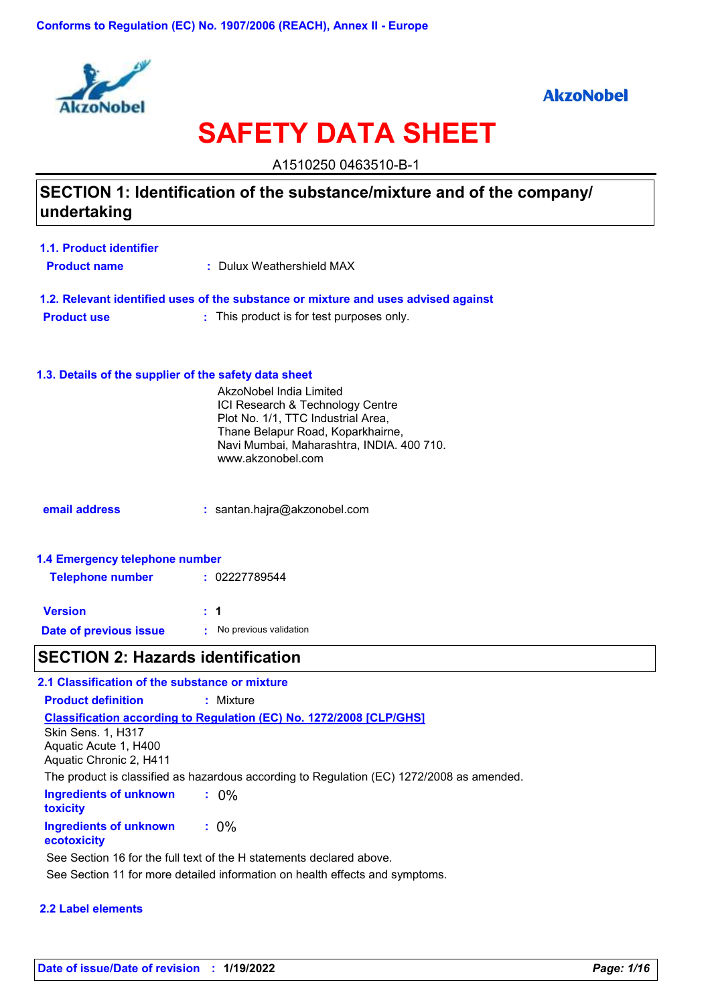

### **AkzoNobel**

# **SAFETY DATA SHEET**

A1510250 0463510-B-1

### **SECTION 1: Identification of the substance/mixture and of the company/ undertaking**

| 1.1. Product identifier |                           |
|-------------------------|---------------------------|
| <b>Product name</b>     | : Dulux Weathershield MAX |

**1.2. Relevant identified uses of the substance or mixture and uses advised against Product use :** : This product is for test purposes only.

### **1.3. Details of the supplier of the safety data sheet**

|                                | AkzoNobel India Limited<br>ICI Research & Technology Centre<br>Plot No. 1/1, TTC Industrial Area,<br>Thane Belapur Road, Koparkhairne,<br>Navi Mumbai, Maharashtra, INDIA. 400 710.<br>www.akzonobel.com |  |  |  |  |
|--------------------------------|----------------------------------------------------------------------------------------------------------------------------------------------------------------------------------------------------------|--|--|--|--|
| email address                  | : santan.hajra@akzonobel.com                                                                                                                                                                             |  |  |  |  |
| 1.4 Emergency telephone number |                                                                                                                                                                                                          |  |  |  |  |

| <b>Telephone number</b> | : 02227789544          |
|-------------------------|------------------------|
| <b>Version</b>          | : 1                    |
| Date of previous issue  | No previous validation |

### **SECTION 2: Hazards identification**

| 2.1 Classification of the substance or mixture                                |                                                                                           |
|-------------------------------------------------------------------------------|-------------------------------------------------------------------------------------------|
| <b>Product definition</b>                                                     | : Mixture                                                                                 |
| <b>Skin Sens. 1, H317</b><br>Aquatic Acute 1, H400<br>Aquatic Chronic 2, H411 | <b>Classification according to Regulation (EC) No. 1272/2008 [CLP/GHS]</b>                |
|                                                                               | The product is classified as hazardous according to Regulation (EC) 1272/2008 as amended. |
| Ingredients of unknown<br><b>toxicity</b>                                     | $: 0\%$                                                                                   |
| Ingredients of unknown<br>ecotoxicity                                         | $: 0\%$                                                                                   |
|                                                                               | See Section 16 for the full text of the H statements declared above.                      |
|                                                                               | See Section 11 for more detailed information on health effects and symptoms.              |

### **2.2 Label elements**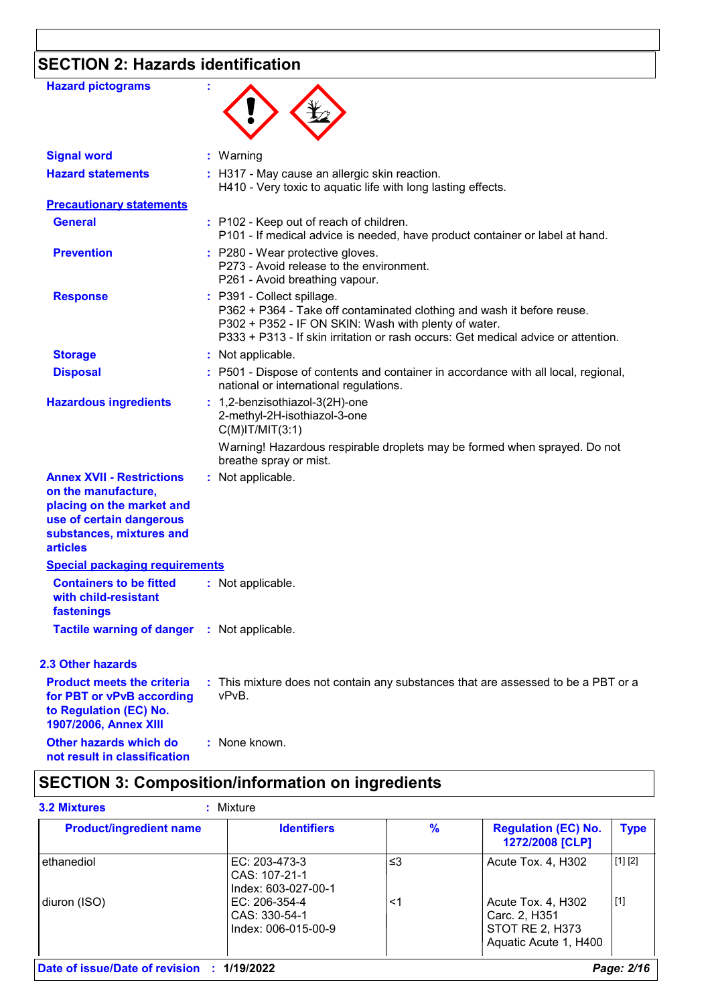# **SECTION 2: Hazards identification**

| <b>Hazard pictograms</b>                                                                                                                                        |                                                                                                                                                                                                                                                   |
|-----------------------------------------------------------------------------------------------------------------------------------------------------------------|---------------------------------------------------------------------------------------------------------------------------------------------------------------------------------------------------------------------------------------------------|
| <b>Signal word</b>                                                                                                                                              | : Warning                                                                                                                                                                                                                                         |
| <b>Hazard statements</b>                                                                                                                                        | : H317 - May cause an allergic skin reaction.<br>H410 - Very toxic to aquatic life with long lasting effects.                                                                                                                                     |
| <b>Precautionary statements</b>                                                                                                                                 |                                                                                                                                                                                                                                                   |
| <b>General</b>                                                                                                                                                  | : P102 - Keep out of reach of children.<br>P101 - If medical advice is needed, have product container or label at hand.                                                                                                                           |
| <b>Prevention</b>                                                                                                                                               | : P280 - Wear protective gloves.<br>P273 - Avoid release to the environment.<br>P261 - Avoid breathing vapour.                                                                                                                                    |
| <b>Response</b>                                                                                                                                                 | : P391 - Collect spillage.<br>P362 + P364 - Take off contaminated clothing and wash it before reuse.<br>P302 + P352 - IF ON SKIN: Wash with plenty of water.<br>P333 + P313 - If skin irritation or rash occurs: Get medical advice or attention. |
| <b>Storage</b>                                                                                                                                                  | : Not applicable.                                                                                                                                                                                                                                 |
| <b>Disposal</b>                                                                                                                                                 | : P501 - Dispose of contents and container in accordance with all local, regional,<br>national or international regulations.                                                                                                                      |
| <b>Hazardous ingredients</b>                                                                                                                                    | : 1,2-benzisothiazol-3(2H)-one<br>2-methyl-2H-isothiazol-3-one<br>$C(M)$ IT/MIT $(3:1)$                                                                                                                                                           |
|                                                                                                                                                                 | Warning! Hazardous respirable droplets may be formed when sprayed. Do not<br>breathe spray or mist.                                                                                                                                               |
| <b>Annex XVII - Restrictions</b><br>on the manufacture,<br>placing on the market and<br>use of certain dangerous<br>substances, mixtures and<br><b>articles</b> | : Not applicable.                                                                                                                                                                                                                                 |
| <b>Special packaging requirements</b>                                                                                                                           |                                                                                                                                                                                                                                                   |
| <b>Containers to be fitted</b><br>with child-resistant<br>fastenings                                                                                            | : Not applicable.                                                                                                                                                                                                                                 |
| <b>Tactile warning of danger</b>                                                                                                                                | : Not applicable.                                                                                                                                                                                                                                 |
| <b>2.3 Other hazards</b>                                                                                                                                        |                                                                                                                                                                                                                                                   |
| <b>Product meets the criteria</b><br>for PBT or vPvB according<br>to Regulation (EC) No.<br>1907/2006, Annex XIII                                               | : This mixture does not contain any substances that are assessed to be a PBT or a<br>vPvB.                                                                                                                                                        |
| Other hazards which do<br>not result in classification                                                                                                          | : None known.                                                                                                                                                                                                                                     |

# **SECTION 3: Composition/information on ingredients**

| <b>Product/ingredient name</b> | <b>Identifiers</b>                                    | $\frac{9}{6}$ | <b>Regulation (EC) No.</b><br>1272/2008 [CLP]                                   | <b>Type</b> |
|--------------------------------|-------------------------------------------------------|---------------|---------------------------------------------------------------------------------|-------------|
| ethanediol                     | EC: 203-473-3<br>CAS: 107-21-1<br>Index: 603-027-00-1 | ≤3            | Acute Tox. 4, H302                                                              | [1] [2]     |
| diuron (ISO)                   | EC: 206-354-4<br>CAS: 330-54-1<br>Index: 006-015-00-9 | <1            | Acute Tox. 4, H302<br>Carc. 2, H351<br>STOT RE 2, H373<br>Aquatic Acute 1, H400 | [1]         |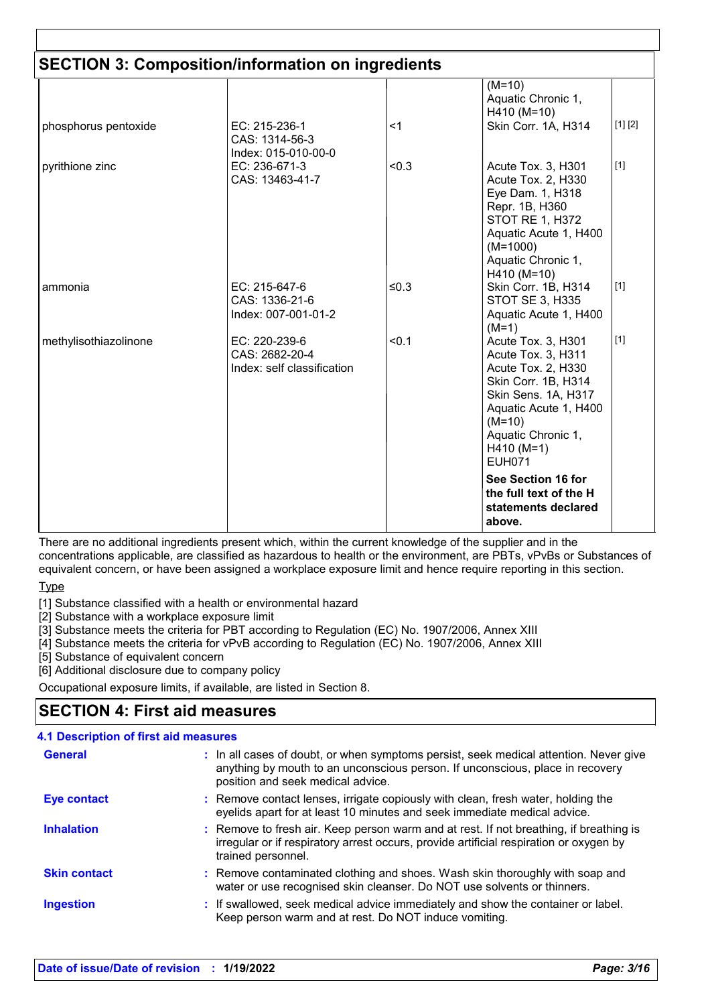|                       | <b>SECTION 3: Composition/information on ingredients</b>      |       |                                                                                                                                                                                                                   |  |
|-----------------------|---------------------------------------------------------------|-------|-------------------------------------------------------------------------------------------------------------------------------------------------------------------------------------------------------------------|--|
|                       |                                                               |       | $(M=10)$<br>Aquatic Chronic 1,<br>H410 (M=10)                                                                                                                                                                     |  |
| phosphorus pentoxide  | EC: 215-236-1<br>CAS: 1314-56-3<br>Index: 015-010-00-0        | <1    | [1] [2]<br>Skin Corr. 1A, H314                                                                                                                                                                                    |  |
| pyrithione zinc       | EC: 236-671-3<br>CAS: 13463-41-7                              | < 0.3 | $[1]$<br>Acute Tox. 3, H301<br>Acute Tox. 2, H330<br>Eye Dam. 1, H318<br>Repr. 1B, H360<br><b>STOT RE 1, H372</b><br>Aquatic Acute 1, H400<br>$(M=1000)$<br>Aquatic Chronic 1,<br>H410 (M=10)                     |  |
| ammonia               | EC: 215-647-6<br>CAS: 1336-21-6<br>Index: 007-001-01-2        | ≤0.3  | $[1]$<br>Skin Corr. 1B, H314<br><b>STOT SE 3, H335</b><br>Aquatic Acute 1, H400<br>$(M=1)$                                                                                                                        |  |
| methylisothiazolinone | EC: 220-239-6<br>CAS: 2682-20-4<br>Index: self classification | < 0.1 | $[1]$<br>Acute Tox. 3, H301<br>Acute Tox. 3, H311<br>Acute Tox. 2, H330<br>Skin Corr. 1B, H314<br>Skin Sens. 1A, H317<br>Aquatic Acute 1, H400<br>$(M=10)$<br>Aquatic Chronic 1,<br>$H410 (M=1)$<br><b>EUH071</b> |  |
|                       |                                                               |       | See Section 16 for<br>the full text of the H<br>statements declared<br>above.                                                                                                                                     |  |

There are no additional ingredients present which, within the current knowledge of the supplier and in the concentrations applicable, are classified as hazardous to health or the environment, are PBTs, vPvBs or Substances of equivalent concern, or have been assigned a workplace exposure limit and hence require reporting in this section.

**Type** 

[1] Substance classified with a health or environmental hazard

[2] Substance with a workplace exposure limit

[3] Substance meets the criteria for PBT according to Regulation (EC) No. 1907/2006, Annex XIII

[4] Substance meets the criteria for vPvB according to Regulation (EC) No. 1907/2006, Annex XIII

[5] Substance of equivalent concern

[6] Additional disclosure due to company policy

Occupational exposure limits, if available, are listed in Section 8.

### **SECTION 4: First aid measures**

### **4.1 Description of first aid measures**

| <b>General</b>      | : In all cases of doubt, or when symptoms persist, seek medical attention. Never give<br>anything by mouth to an unconscious person. If unconscious, place in recovery<br>position and seek medical advice. |
|---------------------|-------------------------------------------------------------------------------------------------------------------------------------------------------------------------------------------------------------|
| Eye contact         | : Remove contact lenses, irrigate copiously with clean, fresh water, holding the<br>eyelids apart for at least 10 minutes and seek immediate medical advice.                                                |
| <b>Inhalation</b>   | : Remove to fresh air. Keep person warm and at rest. If not breathing, if breathing is<br>irregular or if respiratory arrest occurs, provide artificial respiration or oxygen by<br>trained personnel.      |
| <b>Skin contact</b> | : Remove contaminated clothing and shoes. Wash skin thoroughly with soap and<br>water or use recognised skin cleanser. Do NOT use solvents or thinners.                                                     |
| <b>Ingestion</b>    | : If swallowed, seek medical advice immediately and show the container or label.<br>Keep person warm and at rest. Do NOT induce vomiting.                                                                   |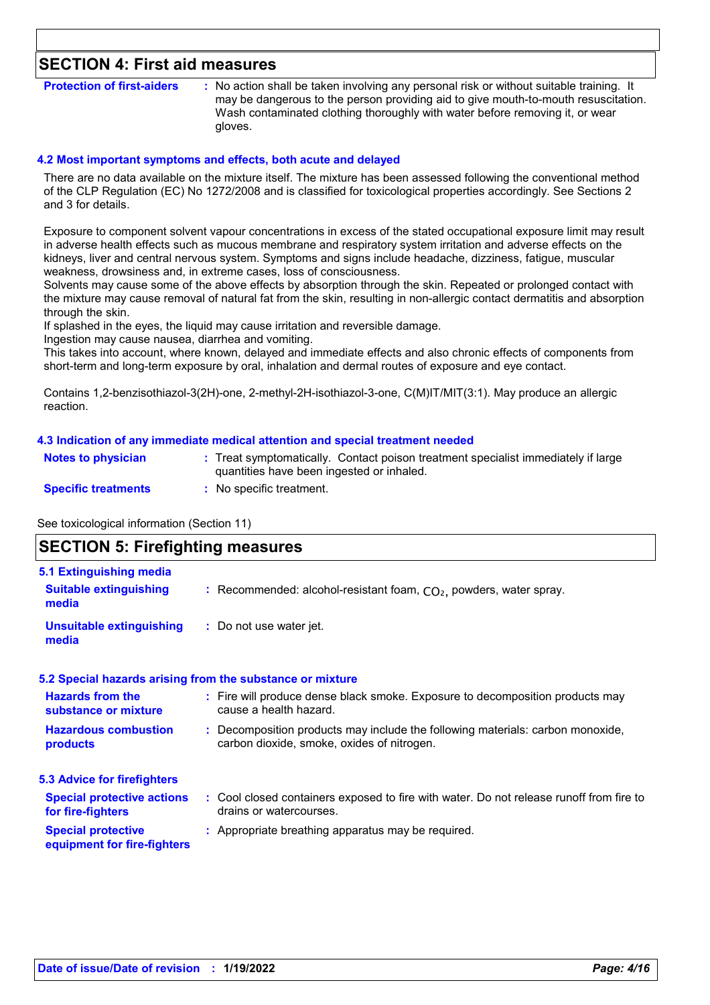### **SECTION 4: First aid measures**

**Protection of first-aiders** : No action shall be taken involving any personal risk or without suitable training. It may be dangerous to the person providing aid to give mouth-to-mouth resuscitation. Wash contaminated clothing thoroughly with water before removing it, or wear gloves.

#### **4.2 Most important symptoms and effects, both acute and delayed**

There are no data available on the mixture itself. The mixture has been assessed following the conventional method of the CLP Regulation (EC) No 1272/2008 and is classified for toxicological properties accordingly. See Sections 2 and 3 for details.

Exposure to component solvent vapour concentrations in excess of the stated occupational exposure limit may result in adverse health effects such as mucous membrane and respiratory system irritation and adverse effects on the kidneys, liver and central nervous system. Symptoms and signs include headache, dizziness, fatigue, muscular weakness, drowsiness and, in extreme cases, loss of consciousness.

Solvents may cause some of the above effects by absorption through the skin. Repeated or prolonged contact with the mixture may cause removal of natural fat from the skin, resulting in non-allergic contact dermatitis and absorption through the skin.

If splashed in the eyes, the liquid may cause irritation and reversible damage.

Ingestion may cause nausea, diarrhea and vomiting.

This takes into account, where known, delayed and immediate effects and also chronic effects of components from short-term and long-term exposure by oral, inhalation and dermal routes of exposure and eye contact.

Contains 1,2-benzisothiazol-3(2H)-one, 2-methyl-2H-isothiazol-3-one, C(M)IT/MIT(3:1). May produce an allergic reaction.

#### **4.3 Indication of any immediate medical attention and special treatment needed**

| <b>Notes to physician</b>  | Treat symptomatically. Contact poison treatment specialist immediately if large<br>quantities have been ingested or inhaled. |
|----------------------------|------------------------------------------------------------------------------------------------------------------------------|
| <b>Specific treatments</b> | : No specific treatment.                                                                                                     |

See toxicological information (Section 11)

### **SECTION 5: Firefighting measures** Recommended: alcohol-resistant foam, CO₂, powders, water spray. **: 5.1 Extinguishing media Suitable extinguishing media**

**:** Do not use water jet. **Unsuitable extinguishing media**

#### **5.2 Special hazards arising from the substance or mixture**

| <b>Hazards from the</b>            | : Fire will produce dense black smoke. Exposure to decomposition products may           |
|------------------------------------|-----------------------------------------------------------------------------------------|
| substance or mixture               | cause a health hazard.                                                                  |
| <b>Hazardous combustion</b>        | : Decomposition products may include the following materials: carbon monoxide,          |
| products                           | carbon dioxide, smoke, oxides of nitrogen.                                              |
| <b>5.3 Advice for firefighters</b> |                                                                                         |
| <b>Special protective actions</b>  | : Cool closed containers exposed to fire with water. Do not release runoff from fire to |
| for fire-fighters                  | drains or watercourses.                                                                 |

#### **Special protective :** Appropriate breathing apparatus may be required.

### **equipment for fire-fighters**

**Date of issue/Date of revision : 1/19/2022** *Page: 4/16*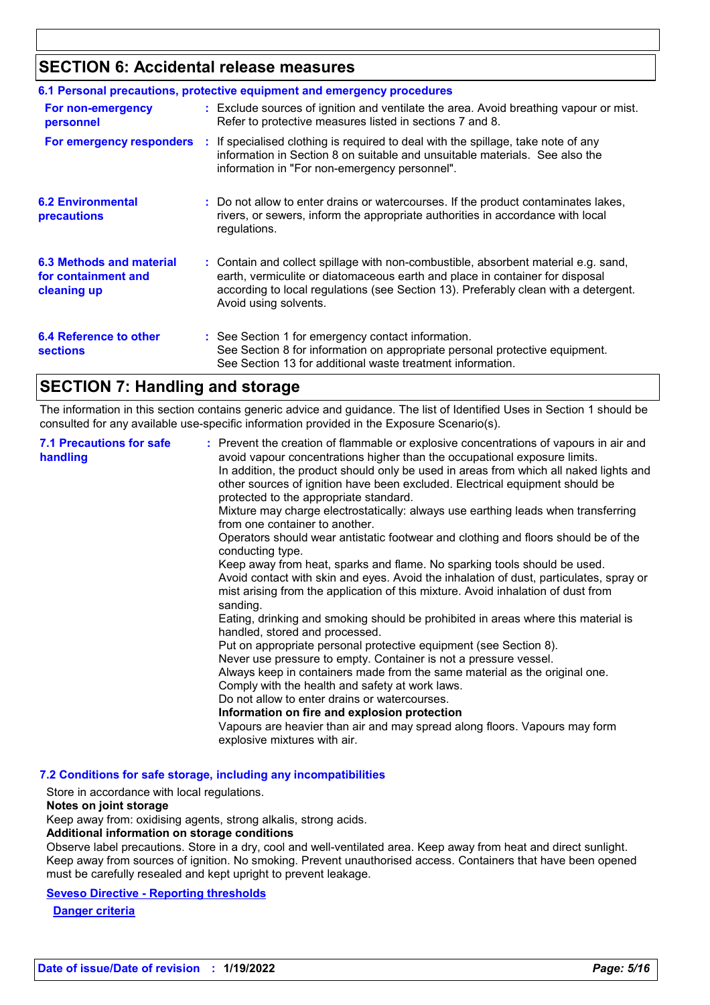### **SECTION 6: Accidental release measures**

| 6.1 Personal precautions, protective equipment and emergency procedures |  |                                                                                                                                                                                                                                                                                    |
|-------------------------------------------------------------------------|--|------------------------------------------------------------------------------------------------------------------------------------------------------------------------------------------------------------------------------------------------------------------------------------|
| For non-emergency<br>personnel                                          |  | : Exclude sources of ignition and ventilate the area. Avoid breathing vapour or mist.<br>Refer to protective measures listed in sections 7 and 8.                                                                                                                                  |
|                                                                         |  | <b>For emergency responders</b> : If specialised clothing is required to deal with the spillage, take note of any<br>information in Section 8 on suitable and unsuitable materials. See also the<br>information in "For non-emergency personnel".                                  |
| <b>6.2 Environmental</b><br>precautions                                 |  | : Do not allow to enter drains or watercourses. If the product contaminates lakes,<br>rivers, or sewers, inform the appropriate authorities in accordance with local<br>regulations.                                                                                               |
| 6.3 Methods and material<br>for containment and<br>cleaning up          |  | : Contain and collect spillage with non-combustible, absorbent material e.g. sand,<br>earth, vermiculite or diatomaceous earth and place in container for disposal<br>according to local regulations (see Section 13). Preferably clean with a detergent.<br>Avoid using solvents. |
| 6.4 Reference to other<br><b>sections</b>                               |  | : See Section 1 for emergency contact information.<br>See Section 8 for information on appropriate personal protective equipment.<br>See Section 13 for additional waste treatment information.                                                                                    |

### **SECTION 7: Handling and storage**

The information in this section contains generic advice and guidance. The list of Identified Uses in Section 1 should be consulted for any available use-specific information provided in the Exposure Scenario(s).

| protected to the appropriate standard.<br>Mixture may charge electrostatically: always use earthing leads when transferring<br>from one container to another.<br>Operators should wear antistatic footwear and clothing and floors should be of the<br>conducting type.<br>Keep away from heat, sparks and flame. No sparking tools should be used.<br>mist arising from the application of this mixture. Avoid inhalation of dust from<br>sanding.<br>Eating, drinking and smoking should be prohibited in areas where this material is<br>handled, stored and processed.<br>Put on appropriate personal protective equipment (see Section 8).<br>Never use pressure to empty. Container is not a pressure vessel.<br>Always keep in containers made from the same material as the original one.<br>Comply with the health and safety at work laws.<br>Do not allow to enter drains or watercourses.<br>Information on fire and explosion protection<br>Vapours are heavier than air and may spread along floors. Vapours may form<br>explosive mixtures with air. | <b>7.1 Precautions for safe</b><br>handling | : Prevent the creation of flammable or explosive concentrations of vapours in air and<br>avoid vapour concentrations higher than the occupational exposure limits.<br>In addition, the product should only be used in areas from which all naked lights and<br>other sources of ignition have been excluded. Electrical equipment should be<br>Avoid contact with skin and eyes. Avoid the inhalation of dust, particulates, spray or |
|---------------------------------------------------------------------------------------------------------------------------------------------------------------------------------------------------------------------------------------------------------------------------------------------------------------------------------------------------------------------------------------------------------------------------------------------------------------------------------------------------------------------------------------------------------------------------------------------------------------------------------------------------------------------------------------------------------------------------------------------------------------------------------------------------------------------------------------------------------------------------------------------------------------------------------------------------------------------------------------------------------------------------------------------------------------------|---------------------------------------------|---------------------------------------------------------------------------------------------------------------------------------------------------------------------------------------------------------------------------------------------------------------------------------------------------------------------------------------------------------------------------------------------------------------------------------------|
|---------------------------------------------------------------------------------------------------------------------------------------------------------------------------------------------------------------------------------------------------------------------------------------------------------------------------------------------------------------------------------------------------------------------------------------------------------------------------------------------------------------------------------------------------------------------------------------------------------------------------------------------------------------------------------------------------------------------------------------------------------------------------------------------------------------------------------------------------------------------------------------------------------------------------------------------------------------------------------------------------------------------------------------------------------------------|---------------------------------------------|---------------------------------------------------------------------------------------------------------------------------------------------------------------------------------------------------------------------------------------------------------------------------------------------------------------------------------------------------------------------------------------------------------------------------------------|

#### **7.2 Conditions for safe storage, including any incompatibilities**

Store in accordance with local regulations.

#### **Notes on joint storage**

Keep away from: oxidising agents, strong alkalis, strong acids.

**Additional information on storage conditions**

Observe label precautions. Store in a dry, cool and well-ventilated area. Keep away from heat and direct sunlight. Keep away from sources of ignition. No smoking. Prevent unauthorised access. Containers that have been opened must be carefully resealed and kept upright to prevent leakage.

#### **Seveso Directive - Reporting thresholds**

**Danger criteria**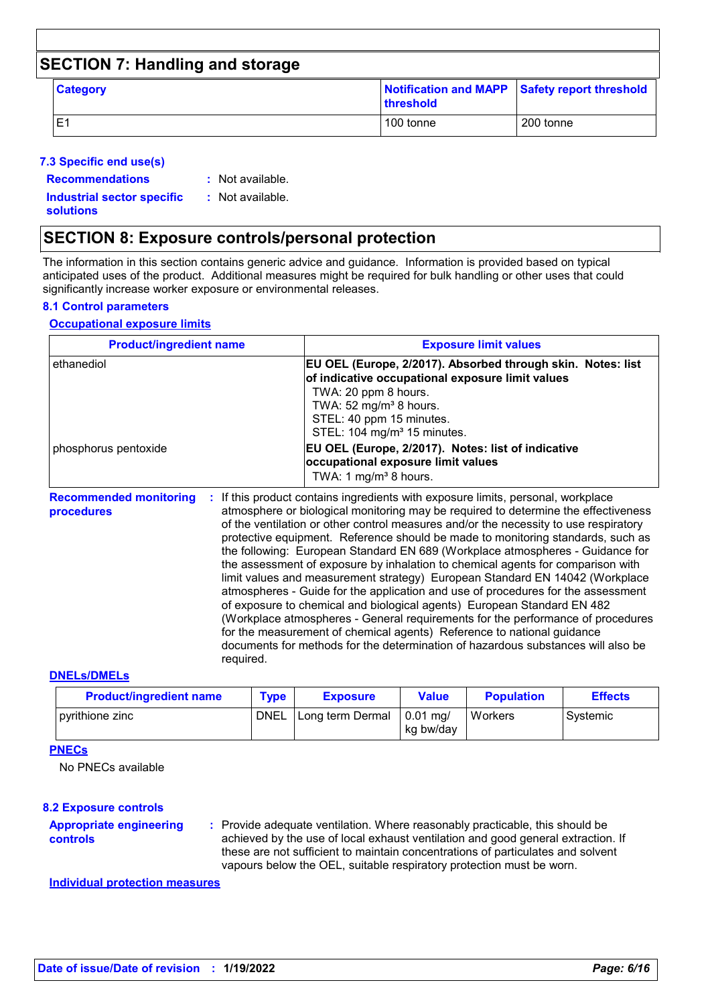| <b>SECTION 7: Handling and storage</b> |                 |           |                                               |  |  |
|----------------------------------------|-----------------|-----------|-----------------------------------------------|--|--|
|                                        | <b>Category</b> | threshold | Notification and MAPP Safety report threshold |  |  |
|                                        | E1              | 100 tonne | 200 tonne                                     |  |  |

### **7.3 Specific end use(s)**

**Recommendations :**

: Not available.

**Industrial sector specific : solutions**

: Not available.

### **SECTION 8: Exposure controls/personal protection**

required.

The information in this section contains generic advice and guidance. Information is provided based on typical anticipated uses of the product. Additional measures might be required for bulk handling or other uses that could significantly increase worker exposure or environmental releases.

### **8.1 Control parameters**

### **Occupational exposure limits**

| <b>Product/ingredient name</b>                    | <b>Exposure limit values</b>                                                                                                                                                                                                                                                                                                                                                                                                                                                                                                                                                                                                                                                                                                                                                                                                                          |
|---------------------------------------------------|-------------------------------------------------------------------------------------------------------------------------------------------------------------------------------------------------------------------------------------------------------------------------------------------------------------------------------------------------------------------------------------------------------------------------------------------------------------------------------------------------------------------------------------------------------------------------------------------------------------------------------------------------------------------------------------------------------------------------------------------------------------------------------------------------------------------------------------------------------|
| ethanediol                                        | EU OEL (Europe, 2/2017). Absorbed through skin. Notes: list<br>of indicative occupational exposure limit values<br>TWA: 20 ppm 8 hours.<br>TWA: $52 \text{ mg/m}^3$ 8 hours.<br>STEL: 40 ppm 15 minutes.<br>STEL: 104 mg/m <sup>3</sup> 15 minutes.                                                                                                                                                                                                                                                                                                                                                                                                                                                                                                                                                                                                   |
| phosphorus pentoxide                              | EU OEL (Europe, 2/2017). Notes: list of indicative<br>occupational exposure limit values<br>TWA: 1 mg/m <sup>3</sup> 8 hours.                                                                                                                                                                                                                                                                                                                                                                                                                                                                                                                                                                                                                                                                                                                         |
| <b>Recommended monitoring</b><br>t.<br>procedures | If this product contains ingredients with exposure limits, personal, workplace<br>atmosphere or biological monitoring may be required to determine the effectiveness<br>of the ventilation or other control measures and/or the necessity to use respiratory<br>protective equipment. Reference should be made to monitoring standards, such as<br>the following: European Standard EN 689 (Workplace atmospheres - Guidance for<br>the assessment of exposure by inhalation to chemical agents for comparison with<br>limit values and measurement strategy) European Standard EN 14042 (Workplace<br>atmospheres - Guide for the application and use of procedures for the assessment<br>of exposure to chemical and biological agents) European Standard EN 482<br>(Workplace atmospheres - General requirements for the performance of procedures |

#### **DNELs/DMELs**

| <b>Product/ingredient name</b> | Type        | <b>Exposure</b>    | <b>Value</b>            | <b>Population</b> | <b>Effects</b> |
|--------------------------------|-------------|--------------------|-------------------------|-------------------|----------------|
| pyrithione zinc                | <b>DNEL</b> | l Long term Dermal | $0.01$ ma/<br>kg bw/day | Workers           | Systemic       |

for the measurement of chemical agents) Reference to national guidance

documents for methods for the determination of hazardous substances will also be

### **PNECs**

No PNECs available

#### **8.2 Exposure controls**

Provide adequate ventilation. Where reasonably practicable, this should be **:** achieved by the use of local exhaust ventilation and good general extraction. If these are not sufficient to maintain concentrations of particulates and solvent vapours below the OEL, suitable respiratory protection must be worn. **Appropriate engineering controls**

### **Individual protection measures**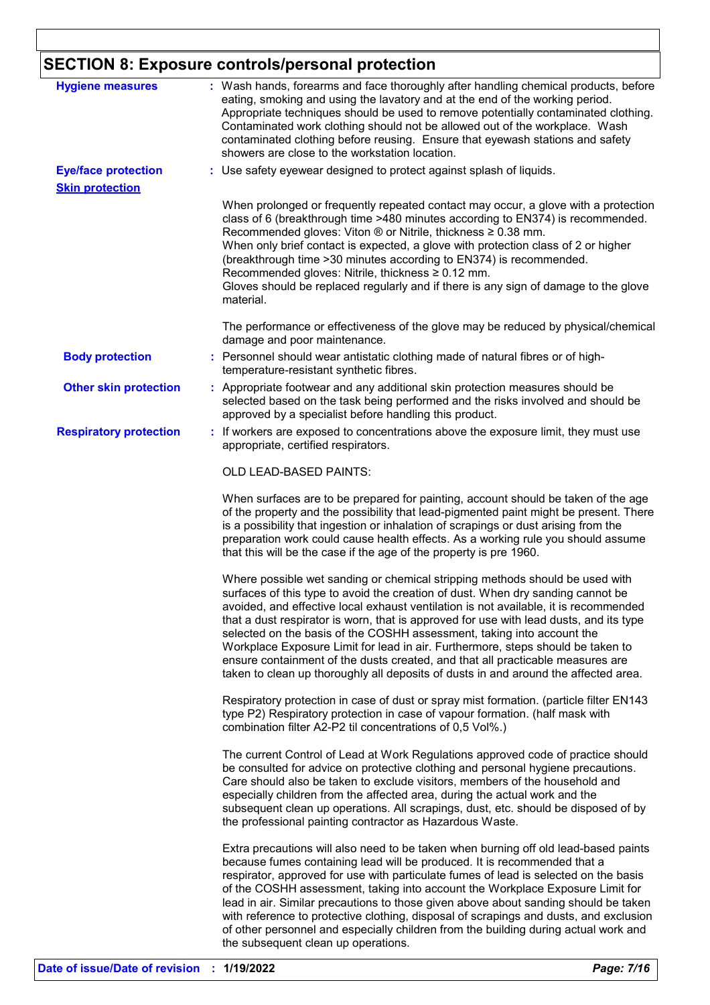# **SECTION 8: Exposure controls/personal protection**

| <b>Hygiene measures</b>                              | : Wash hands, forearms and face thoroughly after handling chemical products, before<br>eating, smoking and using the lavatory and at the end of the working period.<br>Appropriate techniques should be used to remove potentially contaminated clothing.<br>Contaminated work clothing should not be allowed out of the workplace. Wash<br>contaminated clothing before reusing. Ensure that eyewash stations and safety<br>showers are close to the workstation location.                                                                                                                                                                                                             |
|------------------------------------------------------|-----------------------------------------------------------------------------------------------------------------------------------------------------------------------------------------------------------------------------------------------------------------------------------------------------------------------------------------------------------------------------------------------------------------------------------------------------------------------------------------------------------------------------------------------------------------------------------------------------------------------------------------------------------------------------------------|
| <b>Eye/face protection</b><br><b>Skin protection</b> | : Use safety eyewear designed to protect against splash of liquids.                                                                                                                                                                                                                                                                                                                                                                                                                                                                                                                                                                                                                     |
|                                                      | When prolonged or frequently repeated contact may occur, a glove with a protection<br>class of 6 (breakthrough time >480 minutes according to EN374) is recommended.<br>Recommended gloves: Viton ® or Nitrile, thickness ≥ 0.38 mm.<br>When only brief contact is expected, a glove with protection class of 2 or higher<br>(breakthrough time > 30 minutes according to EN374) is recommended.<br>Recommended gloves: Nitrile, thickness ≥ 0.12 mm.<br>Gloves should be replaced regularly and if there is any sign of damage to the glove<br>material.                                                                                                                               |
|                                                      | The performance or effectiveness of the glove may be reduced by physical/chemical<br>damage and poor maintenance.                                                                                                                                                                                                                                                                                                                                                                                                                                                                                                                                                                       |
| <b>Body protection</b>                               | : Personnel should wear antistatic clothing made of natural fibres or of high-<br>temperature-resistant synthetic fibres.                                                                                                                                                                                                                                                                                                                                                                                                                                                                                                                                                               |
| <b>Other skin protection</b>                         | : Appropriate footwear and any additional skin protection measures should be<br>selected based on the task being performed and the risks involved and should be<br>approved by a specialist before handling this product.                                                                                                                                                                                                                                                                                                                                                                                                                                                               |
| <b>Respiratory protection</b>                        | : If workers are exposed to concentrations above the exposure limit, they must use<br>appropriate, certified respirators.                                                                                                                                                                                                                                                                                                                                                                                                                                                                                                                                                               |
|                                                      | <b>OLD LEAD-BASED PAINTS:</b>                                                                                                                                                                                                                                                                                                                                                                                                                                                                                                                                                                                                                                                           |
|                                                      | When surfaces are to be prepared for painting, account should be taken of the age<br>of the property and the possibility that lead-pigmented paint might be present. There<br>is a possibility that ingestion or inhalation of scrapings or dust arising from the<br>preparation work could cause health effects. As a working rule you should assume<br>that this will be the case if the age of the property is pre 1960.                                                                                                                                                                                                                                                             |
|                                                      | Where possible wet sanding or chemical stripping methods should be used with<br>surfaces of this type to avoid the creation of dust. When dry sanding cannot be<br>avoided, and effective local exhaust ventilation is not available, it is recommended<br>that a dust respirator is worn, that is approved for use with lead dusts, and its type<br>selected on the basis of the COSHH assessment, taking into account the<br>Workplace Exposure Limit for lead in air. Furthermore, steps should be taken to<br>ensure containment of the dusts created, and that all practicable measures are<br>taken to clean up thoroughly all deposits of dusts in and around the affected area. |
|                                                      | Respiratory protection in case of dust or spray mist formation. (particle filter EN143<br>type P2) Respiratory protection in case of vapour formation. (half mask with<br>combination filter A2-P2 til concentrations of 0,5 Vol%.)                                                                                                                                                                                                                                                                                                                                                                                                                                                     |
|                                                      | The current Control of Lead at Work Regulations approved code of practice should<br>be consulted for advice on protective clothing and personal hygiene precautions.<br>Care should also be taken to exclude visitors, members of the household and<br>especially children from the affected area, during the actual work and the<br>subsequent clean up operations. All scrapings, dust, etc. should be disposed of by<br>the professional painting contractor as Hazardous Waste.<br>Extra precautions will also need to be taken when burning off old lead-based paints                                                                                                              |
|                                                      | because fumes containing lead will be produced. It is recommended that a<br>respirator, approved for use with particulate fumes of lead is selected on the basis<br>of the COSHH assessment, taking into account the Workplace Exposure Limit for<br>lead in air. Similar precautions to those given above about sanding should be taken<br>with reference to protective clothing, disposal of scrapings and dusts, and exclusion<br>of other personnel and especially children from the building during actual work and<br>the subsequent clean up operations.                                                                                                                         |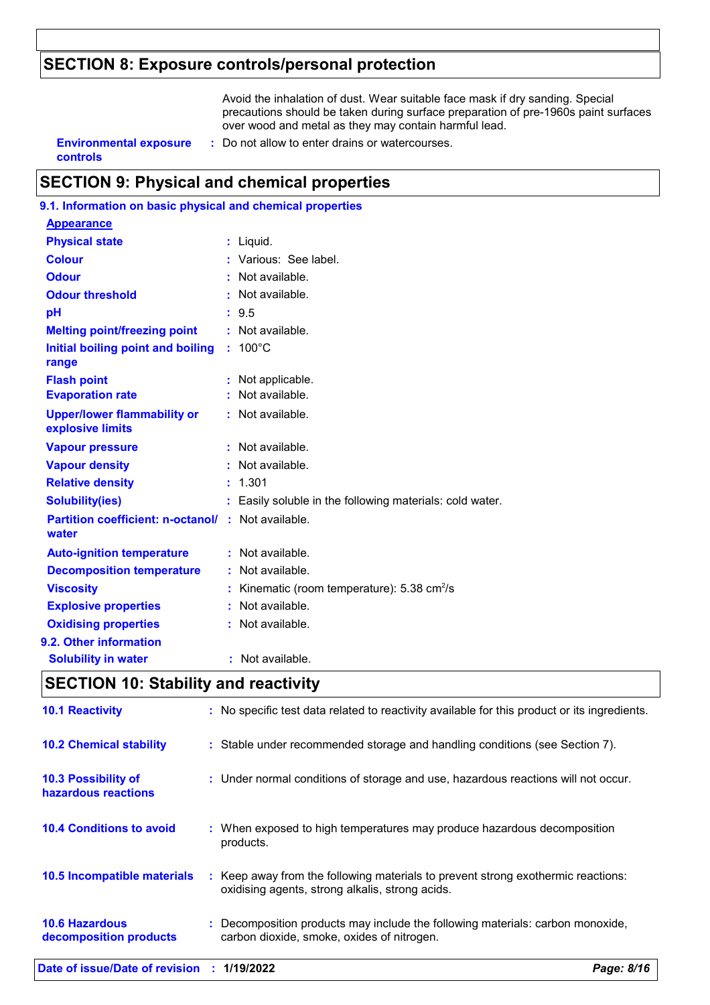### **SECTION 8: Exposure controls/personal protection**

Avoid the inhalation of dust. Wear suitable face mask if dry sanding. Special precautions should be taken during surface preparation of pre-1960s paint surfaces over wood and metal as they may contain harmful lead.

# **controls**

**Environmental exposure : Do not allow to enter drains or watercourses.** 

### **SECTION 9: Physical and chemical properties**

| 9.1. Information on basic physical and chemical properties |    |                                                            |
|------------------------------------------------------------|----|------------------------------------------------------------|
| <b>Appearance</b>                                          |    |                                                            |
| <b>Physical state</b>                                      |    | $:$ Liquid.                                                |
| <b>Colour</b>                                              |    | : Various: See label.                                      |
| <b>Odour</b>                                               |    | $:$ Not available.                                         |
| <b>Odour threshold</b>                                     |    | : Not available.                                           |
| pH                                                         |    | : 9.5                                                      |
| <b>Melting point/freezing point</b>                        |    | : Not available.                                           |
| Initial boiling point and boiling<br>range                 | ÷. | $100^{\circ}$ C                                            |
| <b>Flash point</b>                                         |    | : Not applicable.                                          |
| <b>Evaporation rate</b>                                    |    | Not available.                                             |
| <b>Upper/lower flammability or</b><br>explosive limits     |    | : Not available.                                           |
| <b>Vapour pressure</b>                                     |    | : Not available.                                           |
| <b>Vapour density</b>                                      |    | : Not available.                                           |
| <b>Relative density</b>                                    |    | : 1.301                                                    |
| <b>Solubility(ies)</b>                                     |    | Easily soluble in the following materials: cold water.     |
| <b>Partition coefficient: n-octanol/</b><br>water          | ÷. | Not available.                                             |
| <b>Auto-ignition temperature</b>                           |    | : Not available.                                           |
| <b>Decomposition temperature</b>                           |    | Not available.                                             |
| <b>Viscosity</b>                                           |    | Kinematic (room temperature): $5.38 \text{ cm}^2/\text{s}$ |
| <b>Explosive properties</b>                                |    | Not available.                                             |
| <b>Oxidising properties</b>                                |    | Not available.                                             |
| 9.2. Other information                                     |    |                                                            |
| <b>Solubility in water</b>                                 | ř. | Not available.                                             |
|                                                            |    |                                                            |

### **SECTION 10: Stability and reactivity**

| Date of issue/Date of revision : 1/19/2022      |    | Page: 8/16                                                                                                                        |
|-------------------------------------------------|----|-----------------------------------------------------------------------------------------------------------------------------------|
| <b>10.6 Hazardous</b><br>decomposition products |    | Decomposition products may include the following materials: carbon monoxide,<br>carbon dioxide, smoke, oxides of nitrogen.        |
| 10.5 Incompatible materials                     | ÷. | Keep away from the following materials to prevent strong exothermic reactions:<br>oxidising agents, strong alkalis, strong acids. |
| <b>10.4 Conditions to avoid</b>                 |    | : When exposed to high temperatures may produce hazardous decomposition<br>products.                                              |
| 10.3 Possibility of<br>hazardous reactions      |    | : Under normal conditions of storage and use, hazardous reactions will not occur.                                                 |
| <b>10.2 Chemical stability</b>                  |    | : Stable under recommended storage and handling conditions (see Section 7).                                                       |
| <b>10.1 Reactivity</b>                          |    | : No specific test data related to reactivity available for this product or its ingredients.                                      |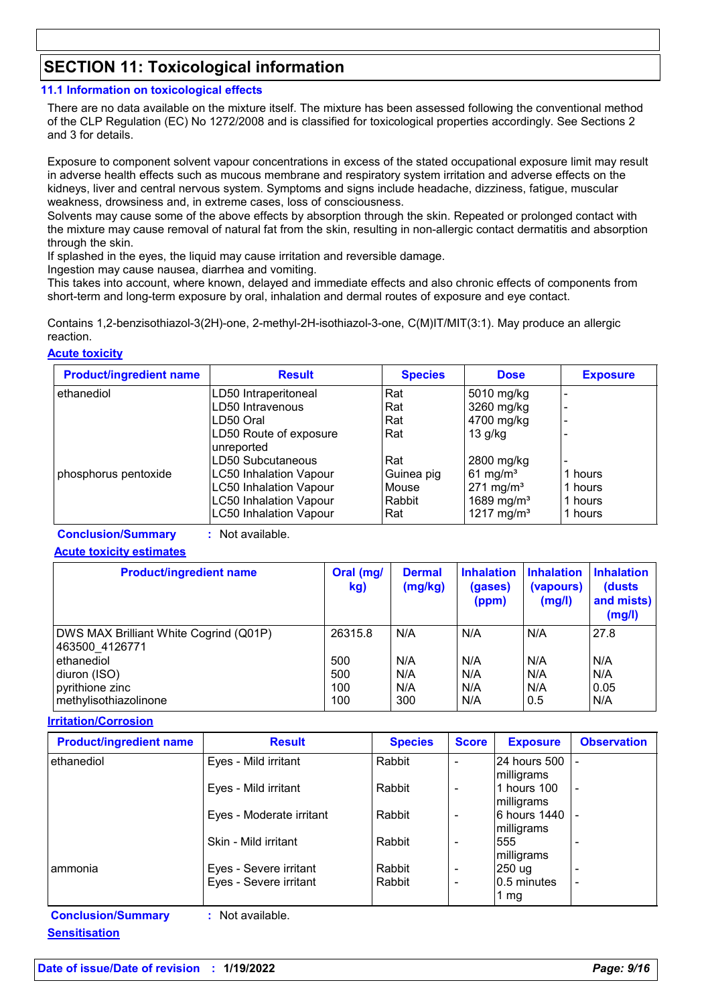### **SECTION 11: Toxicological information**

### **11.1 Information on toxicological effects**

There are no data available on the mixture itself. The mixture has been assessed following the conventional method of the CLP Regulation (EC) No 1272/2008 and is classified for toxicological properties accordingly. See Sections 2 and 3 for details.

Exposure to component solvent vapour concentrations in excess of the stated occupational exposure limit may result in adverse health effects such as mucous membrane and respiratory system irritation and adverse effects on the kidneys, liver and central nervous system. Symptoms and signs include headache, dizziness, fatigue, muscular weakness, drowsiness and, in extreme cases, loss of consciousness.

Solvents may cause some of the above effects by absorption through the skin. Repeated or prolonged contact with the mixture may cause removal of natural fat from the skin, resulting in non-allergic contact dermatitis and absorption through the skin.

If splashed in the eyes, the liquid may cause irritation and reversible damage.

Ingestion may cause nausea, diarrhea and vomiting.

This takes into account, where known, delayed and immediate effects and also chronic effects of components from short-term and long-term exposure by oral, inhalation and dermal routes of exposure and eye contact.

Contains 1,2-benzisothiazol-3(2H)-one, 2-methyl-2H-isothiazol-3-one, C(M)IT/MIT(3:1). May produce an allergic reaction.

### **Acute toxicity**

| <b>Product/ingredient name</b> | <b>Result</b>                 | <b>Species</b> | <b>Dose</b>            | <b>Exposure</b> |
|--------------------------------|-------------------------------|----------------|------------------------|-----------------|
| ethanediol                     | LD50 Intraperitoneal          | Rat            | 5010 mg/kg             |                 |
|                                | LD50 Intravenous              | Rat            | 3260 mg/kg             |                 |
|                                | LD50 Oral                     | Rat            | 4700 mg/kg             |                 |
|                                | LD50 Route of exposure        | Rat            | $13$ g/kg              |                 |
|                                | unreported                    |                |                        |                 |
|                                | LD50 Subcutaneous             | Rat            | 2800 mg/kg             |                 |
| phosphorus pentoxide           | <b>LC50 Inhalation Vapour</b> | Guinea pig     | 61 mg/m <sup>3</sup>   | 1 hours         |
|                                | <b>LC50 Inhalation Vapour</b> | Mouse          | $271 \text{ mg/m}^3$   | 1 hours         |
|                                | <b>LC50 Inhalation Vapour</b> | Rabbit         | 1689 mg/m <sup>3</sup> | 1 hours         |
|                                | <b>LC50 Inhalation Vapour</b> | Rat            | 1217 mg/m <sup>3</sup> | 1 hours         |

**Conclusion/Summary :** Not available.

### **Acute toxicity estimates**

| <b>Product/ingredient name</b>                           | Oral (mg/<br>kg) | <b>Dermal</b><br>(mg/kg) | <b>Inhalation</b><br>(gases)<br>(ppm) | <b>Inhalation</b><br>(vapours)<br>(mg/l) | <b>Inhalation</b><br>(dusts)<br>and mists)<br>(mg/l) |
|----------------------------------------------------------|------------------|--------------------------|---------------------------------------|------------------------------------------|------------------------------------------------------|
| DWS MAX Brilliant White Cogrind (Q01P)<br>463500 4126771 | 26315.8          | N/A                      | N/A                                   | N/A                                      | 27.8                                                 |
| ethanediol                                               | 500              | N/A                      | N/A                                   | N/A                                      | N/A                                                  |
| diuron (ISO)                                             | 500              | N/A                      | N/A                                   | N/A                                      | N/A                                                  |
| pyrithione zinc                                          | 100              | N/A                      | N/A                                   | N/A                                      | 0.05                                                 |
| methylisothiazolinone                                    | 100              | 300                      | N/A                                   | 0.5                                      | N/A                                                  |

#### **Irritation/Corrosion**

| <b>Product/ingredient name</b> | <b>Result</b>            | <b>Species</b> | <b>Score</b> | <b>Exposure</b>       | <b>Observation</b> |
|--------------------------------|--------------------------|----------------|--------------|-----------------------|--------------------|
| ethanediol                     | Eyes - Mild irritant     | Rabbit         | ۰            | 24 hours 500          |                    |
|                                |                          |                |              | milligrams            |                    |
|                                | Eyes - Mild irritant     | Rabbit         | -            | 1 hours 100           |                    |
|                                |                          |                |              | milligrams            |                    |
|                                | Eyes - Moderate irritant | Rabbit         | ۰            | <b>6 hours 1440  </b> |                    |
|                                |                          |                |              | milligrams            |                    |
|                                | Skin - Mild irritant     | Rabbit         | -            | 555                   |                    |
|                                |                          |                |              | milligrams            |                    |
| l ammonia                      | Eyes - Severe irritant   | Rabbit         | ۰            | 250 ug                |                    |
|                                | Eyes - Severe irritant   | Rabbit         | ۰            | 0.5 minutes           |                    |
|                                |                          |                |              | 1 mg                  |                    |
| <b>Conclusion/Summary</b>      | : Not available.         |                |              |                       |                    |

**Sensitisation**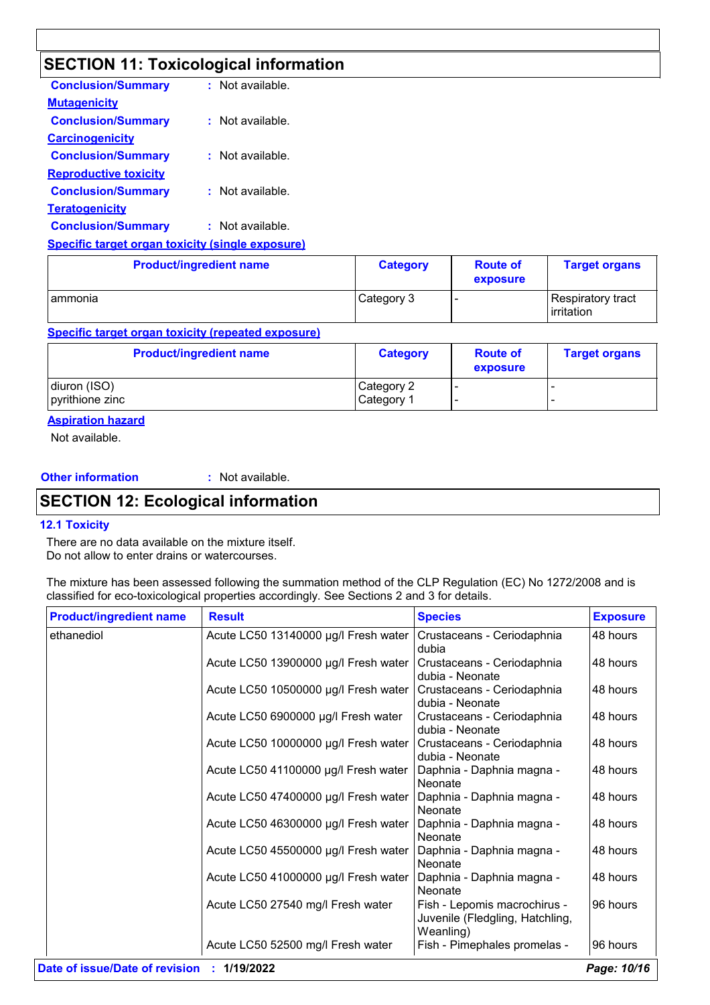# **SECTION 11: Toxicological information**

| <b>Conclusion/Summary</b>    | : Not available. |
|------------------------------|------------------|
| <b>Mutagenicity</b>          |                  |
| <b>Conclusion/Summary</b>    | : Not available. |
| <b>Carcinogenicity</b>       |                  |
| <b>Conclusion/Summary</b>    | Not available.   |
| <b>Reproductive toxicity</b> |                  |
| <b>Conclusion/Summary</b>    | Not available.   |
| <b>Teratogenicity</b>        |                  |
| <b>Conclusion/Summary</b>    | Not available.   |
|                              |                  |

**Specific target organ toxicity (single exposure)**

| <b>Product/ingredient name</b> | <b>Category</b> | <b>Route of</b><br>exposure | <b>Target organs</b>             |
|--------------------------------|-----------------|-----------------------------|----------------------------------|
| ammonia                        | Category 3      |                             | Respiratory tract<br>lirritation |

### **Specific target organ toxicity (repeated exposure)**

| <b>Product/ingredient name</b> | <b>Category</b> | <b>Route of</b><br>exposure | <b>Target organs</b> |
|--------------------------------|-----------------|-----------------------------|----------------------|
| diuron (ISO)                   | Category 2      |                             |                      |
| pyrithione zinc                | Category 1      |                             |                      |

### **Aspiration hazard**

Not available.

### **Other information :**

: Not available.

### **SECTION 12: Ecological information**

#### **12.1 Toxicity**

There are no data available on the mixture itself. Do not allow to enter drains or watercourses.

The mixture has been assessed following the summation method of the CLP Regulation (EC) No 1272/2008 and is classified for eco-toxicological properties accordingly. See Sections 2 and 3 for details.

| <b>Product/ingredient name</b> | <b>Result</b>                        | <b>Species</b>                                                               | <b>Exposure</b> |
|--------------------------------|--------------------------------------|------------------------------------------------------------------------------|-----------------|
| ethanediol                     | Acute LC50 13140000 µg/l Fresh water | Crustaceans - Ceriodaphnia<br>dubia                                          | 48 hours        |
|                                | Acute LC50 13900000 µg/l Fresh water | Crustaceans - Ceriodaphnia<br>dubia - Neonate                                | 48 hours        |
|                                | Acute LC50 10500000 µg/l Fresh water | Crustaceans - Ceriodaphnia<br>dubia - Neonate                                | 48 hours        |
|                                | Acute LC50 6900000 µg/l Fresh water  | Crustaceans - Ceriodaphnia<br>dubia - Neonate                                | 48 hours        |
|                                | Acute LC50 10000000 µg/l Fresh water | Crustaceans - Ceriodaphnia<br>dubia - Neonate                                | 48 hours        |
|                                | Acute LC50 41100000 µg/l Fresh water | Daphnia - Daphnia magna -<br>Neonate                                         | 48 hours        |
|                                | Acute LC50 47400000 µg/l Fresh water | Daphnia - Daphnia magna -<br>Neonate                                         | 48 hours        |
|                                | Acute LC50 46300000 µg/l Fresh water | Daphnia - Daphnia magna -<br>Neonate                                         | 48 hours        |
|                                | Acute LC50 45500000 µg/l Fresh water | Daphnia - Daphnia magna -<br>Neonate                                         | 48 hours        |
|                                | Acute LC50 41000000 µg/l Fresh water | Daphnia - Daphnia magna -<br>Neonate                                         | 48 hours        |
|                                | Acute LC50 27540 mg/l Fresh water    | Fish - Lepomis macrochirus -<br>Juvenile (Fledgling, Hatchling,<br>Weanling) | 96 hours        |
|                                | Acute LC50 52500 mg/l Fresh water    | Fish - Pimephales promelas -                                                 | 96 hours        |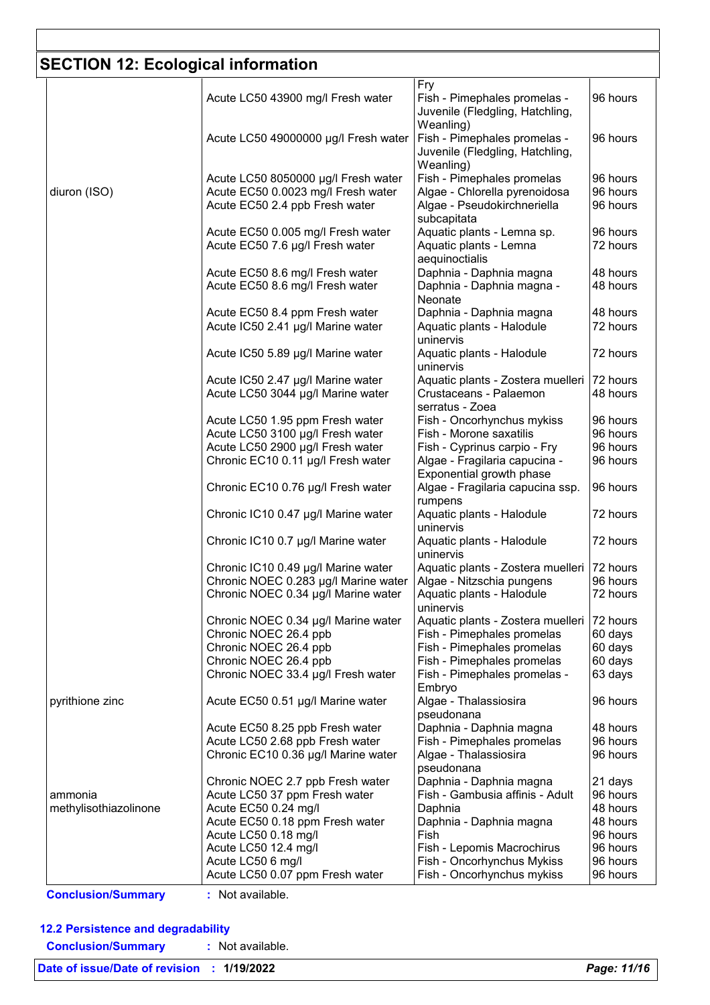### **SECTION 12: Ecological information**

|                                  |                                                      | Fry                                                      |                      |
|----------------------------------|------------------------------------------------------|----------------------------------------------------------|----------------------|
|                                  | Acute LC50 43900 mg/l Fresh water                    | Fish - Pimephales promelas -                             | 96 hours             |
|                                  |                                                      | Juvenile (Fledgling, Hatchling,                          |                      |
|                                  |                                                      | Weanling)                                                |                      |
|                                  | Acute LC50 49000000 µg/l Fresh water                 | Fish - Pimephales promelas -                             | 96 hours             |
|                                  |                                                      | Juvenile (Fledgling, Hatchling,                          |                      |
|                                  |                                                      | Weanling)                                                |                      |
|                                  |                                                      |                                                          |                      |
|                                  | Acute LC50 8050000 µg/l Fresh water                  | Fish - Pimephales promelas                               | 96 hours             |
| diuron (ISO)                     | Acute EC50 0.0023 mg/l Fresh water                   | Algae - Chlorella pyrenoidosa                            | 96 hours             |
|                                  | Acute EC50 2.4 ppb Fresh water                       | Algae - Pseudokirchneriella                              | 96 hours             |
|                                  |                                                      | subcapitata                                              |                      |
|                                  | Acute EC50 0.005 mg/l Fresh water                    | Aquatic plants - Lemna sp.                               | 96 hours             |
|                                  | Acute EC50 7.6 µg/l Fresh water                      | Aquatic plants - Lemna                                   | 72 hours             |
|                                  |                                                      | aequinoctialis                                           |                      |
|                                  | Acute EC50 8.6 mg/l Fresh water                      | Daphnia - Daphnia magna                                  | 48 hours             |
|                                  |                                                      |                                                          | 48 hours             |
|                                  | Acute EC50 8.6 mg/l Fresh water                      | Daphnia - Daphnia magna -                                |                      |
|                                  |                                                      | Neonate                                                  |                      |
|                                  | Acute EC50 8.4 ppm Fresh water                       | Daphnia - Daphnia magna                                  | 48 hours             |
|                                  | Acute IC50 2.41 µg/l Marine water                    | Aquatic plants - Halodule                                | 72 hours             |
|                                  |                                                      | uninervis                                                |                      |
|                                  | Acute IC50 5.89 µg/l Marine water                    | Aquatic plants - Halodule                                | 72 hours             |
|                                  |                                                      | uninervis                                                |                      |
|                                  | Acute IC50 2.47 µg/l Marine water                    | Aquatic plants - Zostera muelleri                        | 72 hours             |
|                                  | Acute LC50 3044 µg/l Marine water                    | Crustaceans - Palaemon                                   | 48 hours             |
|                                  |                                                      | serratus - Zoea                                          |                      |
|                                  |                                                      |                                                          |                      |
|                                  | Acute LC50 1.95 ppm Fresh water                      | Fish - Oncorhynchus mykiss                               | 96 hours             |
|                                  | Acute LC50 3100 µg/l Fresh water                     | Fish - Morone saxatilis                                  | 96 hours             |
|                                  | Acute LC50 2900 µg/l Fresh water                     | Fish - Cyprinus carpio - Fry                             | 96 hours             |
|                                  | Chronic EC10 0.11 µg/l Fresh water                   | Algae - Fragilaria capucina -                            | 96 hours             |
|                                  |                                                      | Exponential growth phase                                 |                      |
|                                  | Chronic EC10 0.76 µg/l Fresh water                   | Algae - Fragilaria capucina ssp.                         | 96 hours             |
|                                  |                                                      | rumpens                                                  |                      |
|                                  | Chronic IC10 0.47 µg/l Marine water                  | Aquatic plants - Halodule                                | 72 hours             |
|                                  |                                                      | uninervis                                                |                      |
|                                  |                                                      |                                                          |                      |
|                                  | Chronic IC10 0.7 µg/l Marine water                   | Aquatic plants - Halodule                                | 72 hours             |
|                                  |                                                      | uninervis                                                |                      |
|                                  | Chronic IC10 0.49 µg/l Marine water                  | Aquatic plants - Zostera muelleri                        | 72 hours             |
|                                  | Chronic NOEC 0.283 µg/l Marine water                 | Algae - Nitzschia pungens                                | 96 hours             |
|                                  | Chronic NOEC 0.34 µg/l Marine water                  | Aquatic plants - Halodule                                | 72 hours             |
|                                  |                                                      | uninervis                                                |                      |
|                                  | Chronic NOEC 0.34 µg/l Marine water                  | Aquatic plants - Zostera muelleri                        | 72 hours             |
|                                  | Chronic NOEC 26.4 ppb                                | Fish - Pimephales promelas                               | 60 days              |
|                                  |                                                      |                                                          |                      |
|                                  | Chronic NOEC 26.4 ppb                                | Fish - Pimephales promelas                               | 60 days              |
|                                  | Chronic NOEC 26.4 ppb                                | Fish - Pimephales promelas                               | 60 days              |
|                                  | Chronic NOEC 33.4 µg/l Fresh water                   | Fish - Pimephales promelas -                             | 63 days              |
|                                  |                                                      | Embryo                                                   |                      |
| pyrithione zinc                  | Acute EC50 0.51 µg/l Marine water                    | Algae - Thalassiosira                                    | 96 hours             |
|                                  |                                                      | pseudonana                                               |                      |
|                                  | Acute EC50 8.25 ppb Fresh water                      | Daphnia - Daphnia magna                                  | 48 hours             |
|                                  | Acute LC50 2.68 ppb Fresh water                      | Fish - Pimephales promelas                               | 96 hours             |
|                                  | Chronic EC10 0.36 µg/l Marine water                  | Algae - Thalassiosira                                    | 96 hours             |
|                                  |                                                      |                                                          |                      |
|                                  |                                                      | pseudonana                                               |                      |
|                                  | Chronic NOEC 2.7 ppb Fresh water                     | Daphnia - Daphnia magna                                  | 21 days              |
|                                  |                                                      | Fish - Gambusia affinis - Adult                          | 96 hours             |
|                                  | Acute LC50 37 ppm Fresh water                        |                                                          |                      |
|                                  | Acute EC50 0.24 mg/l                                 | Daphnia                                                  | 48 hours             |
|                                  |                                                      |                                                          | 48 hours             |
|                                  | Acute EC50 0.18 ppm Fresh water                      | Daphnia - Daphnia magna                                  |                      |
|                                  | Acute LC50 0.18 mg/l                                 | Fish                                                     | 96 hours             |
|                                  | Acute LC50 12.4 mg/l                                 | Fish - Lepomis Macrochirus                               | 96 hours             |
| ammonia<br>methylisothiazolinone | Acute LC50 6 mg/l<br>Acute LC50 0.07 ppm Fresh water | Fish - Oncorhynchus Mykiss<br>Fish - Oncorhynchus mykiss | 96 hours<br>96 hours |

**Conclusion/Summary :** Not available.

### **12.2 Persistence and degradability**

**Conclusion/Summary :** Not available.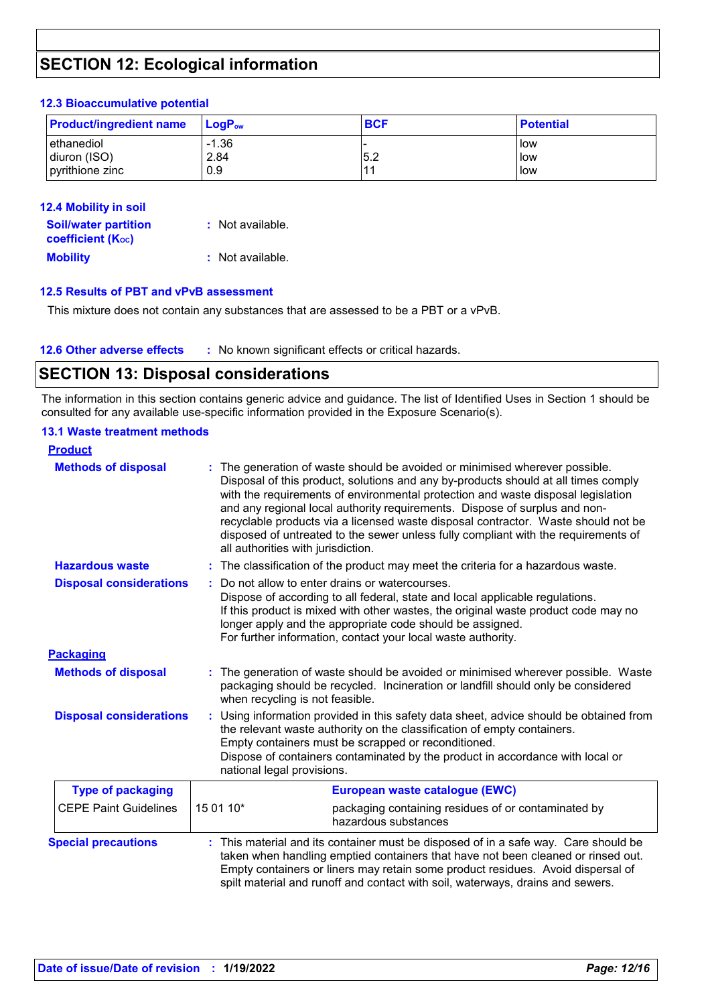### **SECTION 12: Ecological information**

#### **12.3 Bioaccumulative potential**

| <b>Product/ingredient name</b> | $LoaPow$ | <b>BCF</b> | <b>Potential</b> |
|--------------------------------|----------|------------|------------------|
| lethanediol                    | $-1.36$  | 5.2        | llow             |
| diuron (ISO)                   | 2.84     |            | low              |
| pyrithione zinc                | 0.9      |            | low              |

| <b>12.4 Mobility in soil</b>                            |                  |
|---------------------------------------------------------|------------------|
| <b>Soil/water partition</b><br><b>coefficient (Koc)</b> | : Not available. |
| <b>Mobility</b>                                         | : Not available. |

#### **12.5 Results of PBT and vPvB assessment**

This mixture does not contain any substances that are assessed to be a PBT or a vPvB.

### **SECTION 13: Disposal considerations**

The information in this section contains generic advice and guidance. The list of Identified Uses in Section 1 should be consulted for any available use-specific information provided in the Exposure Scenario(s).

#### **13.1 Waste treatment methods**

| <b>Product</b>                 |                                                                                                                                                                                                                                                                                                                                                                                                                                                                                                                                                    |                                                                                                                                                                                                                                                                                                                                                  |  |
|--------------------------------|----------------------------------------------------------------------------------------------------------------------------------------------------------------------------------------------------------------------------------------------------------------------------------------------------------------------------------------------------------------------------------------------------------------------------------------------------------------------------------------------------------------------------------------------------|--------------------------------------------------------------------------------------------------------------------------------------------------------------------------------------------------------------------------------------------------------------------------------------------------------------------------------------------------|--|
| <b>Methods of disposal</b>     | The generation of waste should be avoided or minimised wherever possible.<br>Disposal of this product, solutions and any by-products should at all times comply<br>with the requirements of environmental protection and waste disposal legislation<br>and any regional local authority requirements. Dispose of surplus and non-<br>recyclable products via a licensed waste disposal contractor. Waste should not be<br>disposed of untreated to the sewer unless fully compliant with the requirements of<br>all authorities with jurisdiction. |                                                                                                                                                                                                                                                                                                                                                  |  |
| <b>Hazardous waste</b>         |                                                                                                                                                                                                                                                                                                                                                                                                                                                                                                                                                    | : The classification of the product may meet the criteria for a hazardous waste.                                                                                                                                                                                                                                                                 |  |
| <b>Disposal considerations</b> |                                                                                                                                                                                                                                                                                                                                                                                                                                                                                                                                                    | Do not allow to enter drains or watercourses.<br>Dispose of according to all federal, state and local applicable regulations.<br>If this product is mixed with other wastes, the original waste product code may no<br>longer apply and the appropriate code should be assigned.<br>For further information, contact your local waste authority. |  |
| <b>Packaging</b>               |                                                                                                                                                                                                                                                                                                                                                                                                                                                                                                                                                    |                                                                                                                                                                                                                                                                                                                                                  |  |
| <b>Methods of disposal</b>     | The generation of waste should be avoided or minimised wherever possible. Waste<br>packaging should be recycled. Incineration or landfill should only be considered<br>when recycling is not feasible.                                                                                                                                                                                                                                                                                                                                             |                                                                                                                                                                                                                                                                                                                                                  |  |
| <b>Disposal considerations</b> | Using information provided in this safety data sheet, advice should be obtained from<br>the relevant waste authority on the classification of empty containers.<br>Empty containers must be scrapped or reconditioned.<br>Dispose of containers contaminated by the product in accordance with local or<br>national legal provisions.                                                                                                                                                                                                              |                                                                                                                                                                                                                                                                                                                                                  |  |
| <b>Type of packaging</b>       | European waste catalogue (EWC)                                                                                                                                                                                                                                                                                                                                                                                                                                                                                                                     |                                                                                                                                                                                                                                                                                                                                                  |  |
| <b>CEPE Paint Guidelines</b>   | 15 01 10*                                                                                                                                                                                                                                                                                                                                                                                                                                                                                                                                          | packaging containing residues of or contaminated by<br>hazardous substances                                                                                                                                                                                                                                                                      |  |
| <b>Special precautions</b>     | : This material and its container must be disposed of in a safe way. Care should be<br>taken when handling emptied containers that have not been cleaned or rinsed out.<br>Empty containers or liners may retain some product residues. Avoid dispersal of<br>spilt material and runoff and contact with soil, waterways, drains and sewers.                                                                                                                                                                                                       |                                                                                                                                                                                                                                                                                                                                                  |  |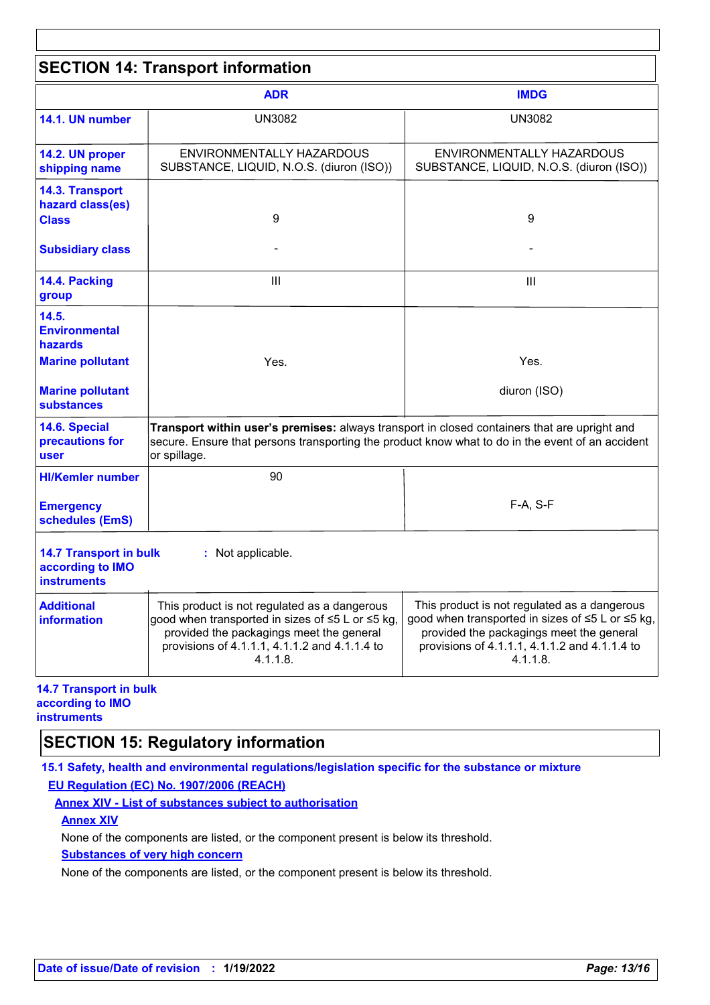| <b>SECTION 14: Transport information</b>                                                                                                                                                                                                                     |                                                                                                                                                                                                           |                                                                                                                                                                                                           |  |  |
|--------------------------------------------------------------------------------------------------------------------------------------------------------------------------------------------------------------------------------------------------------------|-----------------------------------------------------------------------------------------------------------------------------------------------------------------------------------------------------------|-----------------------------------------------------------------------------------------------------------------------------------------------------------------------------------------------------------|--|--|
|                                                                                                                                                                                                                                                              | <b>ADR</b>                                                                                                                                                                                                | <b>IMDG</b>                                                                                                                                                                                               |  |  |
| 14.1. UN number                                                                                                                                                                                                                                              | <b>UN3082</b>                                                                                                                                                                                             | <b>UN3082</b>                                                                                                                                                                                             |  |  |
| 14.2. UN proper<br>shipping name                                                                                                                                                                                                                             | ENVIRONMENTALLY HAZARDOUS<br>SUBSTANCE, LIQUID, N.O.S. (diuron (ISO))                                                                                                                                     | ENVIRONMENTALLY HAZARDOUS<br>SUBSTANCE, LIQUID, N.O.S. (diuron (ISO))                                                                                                                                     |  |  |
| 14.3. Transport<br>hazard class(es)<br><b>Class</b>                                                                                                                                                                                                          | 9                                                                                                                                                                                                         | 9                                                                                                                                                                                                         |  |  |
| <b>Subsidiary class</b>                                                                                                                                                                                                                                      |                                                                                                                                                                                                           |                                                                                                                                                                                                           |  |  |
| 14.4. Packing<br>group                                                                                                                                                                                                                                       | Ш                                                                                                                                                                                                         | $\mathbf{III}$                                                                                                                                                                                            |  |  |
| 14.5.<br><b>Environmental</b><br>hazards                                                                                                                                                                                                                     |                                                                                                                                                                                                           |                                                                                                                                                                                                           |  |  |
| <b>Marine pollutant</b>                                                                                                                                                                                                                                      | Yes.                                                                                                                                                                                                      | Yes.                                                                                                                                                                                                      |  |  |
| <b>Marine pollutant</b><br><b>substances</b>                                                                                                                                                                                                                 |                                                                                                                                                                                                           | diuron (ISO)                                                                                                                                                                                              |  |  |
| 14.6. Special<br>Transport within user's premises: always transport in closed containers that are upright and<br>precautions for<br>secure. Ensure that persons transporting the product know what to do in the event of an accident<br>or spillage.<br>user |                                                                                                                                                                                                           |                                                                                                                                                                                                           |  |  |
| <b>HI/Kemler number</b>                                                                                                                                                                                                                                      | 90                                                                                                                                                                                                        |                                                                                                                                                                                                           |  |  |
| <b>Emergency</b><br>schedules (EmS)                                                                                                                                                                                                                          |                                                                                                                                                                                                           | $F-A, S-F$                                                                                                                                                                                                |  |  |
| <b>14.7 Transport in bulk</b><br>Not applicable.<br>according to IMO<br><b>instruments</b>                                                                                                                                                                   |                                                                                                                                                                                                           |                                                                                                                                                                                                           |  |  |
| <b>Additional</b><br>information                                                                                                                                                                                                                             | This product is not regulated as a dangerous<br>good when transported in sizes of ≤5 L or ≤5 kg,<br>provided the packagings meet the general<br>provisions of 4.1.1.1, 4.1.1.2 and 4.1.1.4 to<br>4.1.1.8. | This product is not regulated as a dangerous<br>good when transported in sizes of ≤5 L or ≤5 kg,<br>provided the packagings meet the general<br>provisions of 4.1.1.1, 4.1.1.2 and 4.1.1.4 to<br>4.1.1.8. |  |  |

#### **14.7 Transport in bulk according to IMO instruments**

### **SECTION 15: Regulatory information**

**15.1 Safety, health and environmental regulations/legislation specific for the substance or mixture EU Regulation (EC) No. 1907/2006 (REACH)**

**Annex XIV - List of substances subject to authorisation**

**Annex XIV**

None of the components are listed, or the component present is below its threshold.

### **Substances of very high concern**

None of the components are listed, or the component present is below its threshold.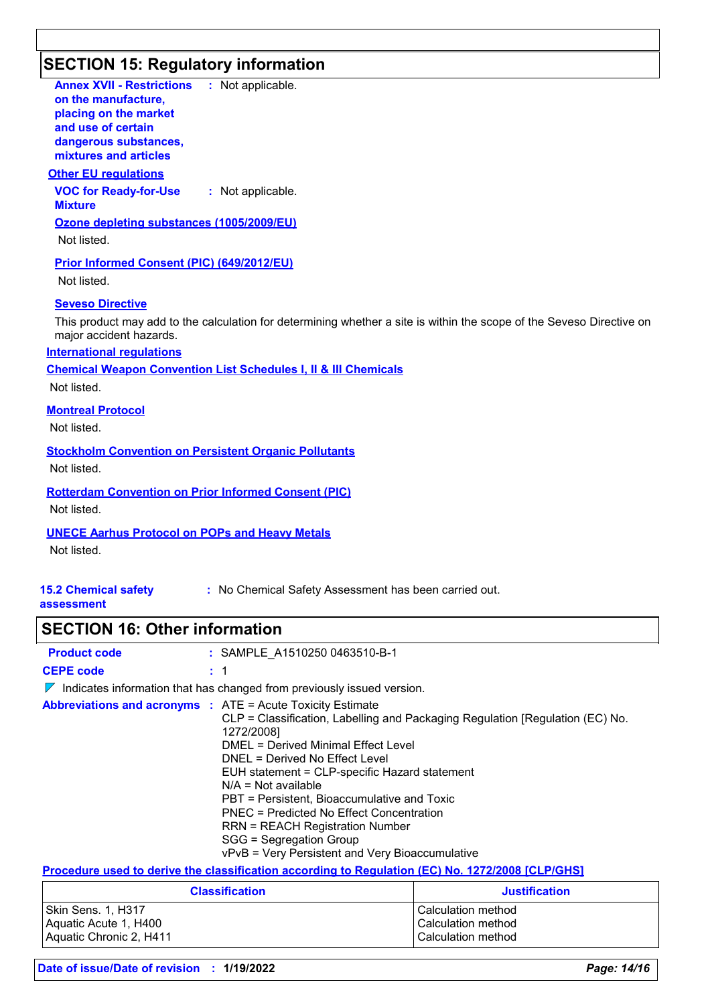# **SECTION 15: Regulatory information**

| <b>Annex XVII - Restrictions : Not applicable.</b><br>on the manufacture,<br>placing on the market<br>and use of certain<br>dangerous substances,<br>mixtures and articles  |
|-----------------------------------------------------------------------------------------------------------------------------------------------------------------------------|
| <b>Other EU regulations</b>                                                                                                                                                 |
| <b>VOC for Ready-for-Use</b><br>: Not applicable.<br><b>Mixture</b>                                                                                                         |
| Ozone depleting substances (1005/2009/EU)<br>Not listed.                                                                                                                    |
| <b>Prior Informed Consent (PIC) (649/2012/EU)</b><br>Not listed.                                                                                                            |
| <b>Seveso Directive</b><br>This product may add to the calculation for determining whether a site is within the scope of the Seveso Directive on<br>major accident hazards. |
| <b>International regulations</b>                                                                                                                                            |
| <b>Chemical Weapon Convention List Schedules I, II &amp; III Chemicals</b>                                                                                                  |
| Not listed.                                                                                                                                                                 |
| <b>Montreal Protocol</b>                                                                                                                                                    |
| Not listed.                                                                                                                                                                 |
| <b>Stockholm Convention on Persistent Organic Pollutants</b>                                                                                                                |
| Not listed.                                                                                                                                                                 |
| <b>Rotterdam Convention on Prior Informed Consent (PIC)</b>                                                                                                                 |
| Not listed.                                                                                                                                                                 |
| <b>UNECE Aarhus Protocol on POPs and Heavy Metals</b>                                                                                                                       |
| Not listed.                                                                                                                                                                 |
|                                                                                                                                                                             |

## **15.2 Chemical safety**

**:** No Chemical Safety Assessment has been carried out.

### **assessment**

## **SECTION 16: Other information**

| <b>Product code</b> | : SAMPLE A1510250 0463510-B-1                                                                                                                                                                                                                                                                                                                                                                                                                                                                                                   |
|---------------------|---------------------------------------------------------------------------------------------------------------------------------------------------------------------------------------------------------------------------------------------------------------------------------------------------------------------------------------------------------------------------------------------------------------------------------------------------------------------------------------------------------------------------------|
| <b>CEPE code</b>    | $\pm$ 1                                                                                                                                                                                                                                                                                                                                                                                                                                                                                                                         |
| $\mathbb{Z}$        | Indicates information that has changed from previously issued version.                                                                                                                                                                                                                                                                                                                                                                                                                                                          |
|                     | <b>Abbreviations and acronyms :</b> ATE = Acute Toxicity Estimate<br>CLP = Classification, Labelling and Packaging Regulation [Regulation (EC) No.<br>1272/2008]<br>DMEL = Derived Minimal Effect Level<br>DNEL = Derived No Effect Level<br>EUH statement = CLP-specific Hazard statement<br>$N/A = Not available$<br>PBT = Persistent, Bioaccumulative and Toxic<br>PNEC = Predicted No Effect Concentration<br>RRN = REACH Registration Number<br>SGG = Segregation Group<br>vPvB = Very Persistent and Very Bioaccumulative |
|                     | Procedure used to derive the classification according to Regulation (EC) No. 1272/2008 [CLP/GHS]                                                                                                                                                                                                                                                                                                                                                                                                                                |

**Procedure used to derive the classification according to Regulation (EC) No. 1272/2008 [CLP/GHS]**

| <b>Classification</b>   | <b>Justification</b> |
|-------------------------|----------------------|
| Skin Sens. 1, H317      | l Calculation method |
| Aquatic Acute 1, H400   | l Calculation method |
| Aquatic Chronic 2, H411 | l Calculation method |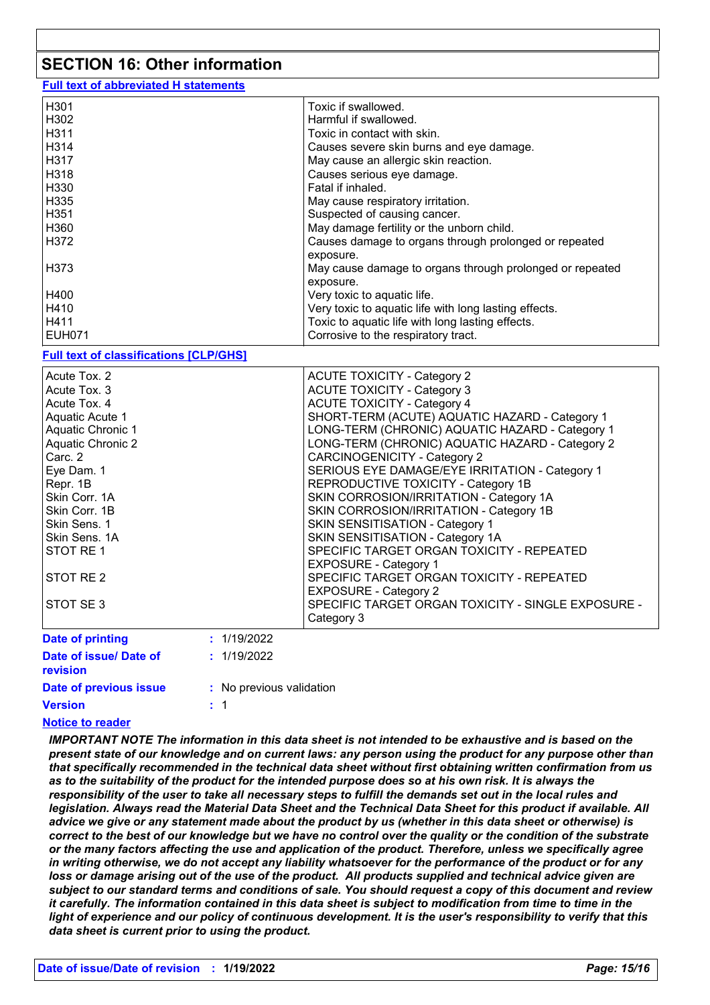### **SECTION 16: Other information**

**Full text of abbreviated H statements**

| H301          | Toxic if swallowed.                                      |
|---------------|----------------------------------------------------------|
| H302          | Harmful if swallowed.                                    |
| H311          | Toxic in contact with skin.                              |
| H314          | Causes severe skin burns and eye damage.                 |
| H317          | May cause an allergic skin reaction.                     |
| H318          | Causes serious eye damage.                               |
| H330          | Fatal if inhaled.                                        |
| H335          | May cause respiratory irritation.                        |
| H351          | Suspected of causing cancer.                             |
| H360          | May damage fertility or the unborn child.                |
| H372          | Causes damage to organs through prolonged or repeated    |
|               | exposure.                                                |
| H373          | May cause damage to organs through prolonged or repeated |
|               | exposure.                                                |
| H400          | Very toxic to aquatic life.                              |
| H410          | Very toxic to aquatic life with long lasting effects.    |
| H411          | Toxic to aquatic life with long lasting effects.         |
| <b>EUH071</b> | Corrosive to the respiratory tract.                      |

#### **Full text of classifications [CLP/GHS]**

| Acute Tox, 3<br>Acute Tox. 4<br>Aquatic Acute 1 |             | <b>ACUTE TOXICITY - Category 3</b><br><b>ACUTE TOXICITY - Category 4</b><br>SHORT-TERM (ACUTE) AQUATIC HAZARD - Category 1 |
|-------------------------------------------------|-------------|----------------------------------------------------------------------------------------------------------------------------|
| <b>Aquatic Chronic 1</b>                        |             | LONG-TERM (CHRONIC) AQUATIC HAZARD - Category 1                                                                            |
| <b>Aquatic Chronic 2</b>                        |             | LONG-TERM (CHRONIC) AQUATIC HAZARD - Category 2                                                                            |
| Carc. 2                                         |             | <b>CARCINOGENICITY - Category 2</b>                                                                                        |
| Eye Dam. 1                                      |             | SERIOUS EYE DAMAGE/EYE IRRITATION - Category 1                                                                             |
| Repr. 1B                                        |             | REPRODUCTIVE TOXICITY - Category 1B                                                                                        |
| Skin Corr. 1A                                   |             | SKIN CORROSION/IRRITATION - Category 1A                                                                                    |
| Skin Corr. 1B                                   |             | SKIN CORROSION/IRRITATION - Category 1B                                                                                    |
| Skin Sens. 1                                    |             | SKIN SENSITISATION - Category 1                                                                                            |
| Skin Sens. 1A                                   |             | SKIN SENSITISATION - Category 1A                                                                                           |
| STOT RE1                                        |             | SPECIFIC TARGET ORGAN TOXICITY - REPEATED<br><b>EXPOSURE - Category 1</b>                                                  |
| STOT RE <sub>2</sub>                            |             | SPECIFIC TARGET ORGAN TOXICITY - REPEATED                                                                                  |
|                                                 |             | <b>EXPOSURE - Category 2</b>                                                                                               |
| STOT SE 3                                       |             | SPECIFIC TARGET ORGAN TOXICITY - SINGLE EXPOSURE -                                                                         |
|                                                 |             | Category 3                                                                                                                 |
| <b>Date of printing</b>                         | : 1/19/2022 |                                                                                                                            |
| Date of issue/ Date of<br><b>Existent</b>       | : 1/19/2022 |                                                                                                                            |

| <b>revision</b>        |                          |
|------------------------|--------------------------|
| Date of previous issue | : No previous validation |
| <b>Version</b>         | : 1                      |
|                        |                          |

### **Notice to reader**

*IMPORTANT NOTE The information in this data sheet is not intended to be exhaustive and is based on the present state of our knowledge and on current laws: any person using the product for any purpose other than that specifically recommended in the technical data sheet without first obtaining written confirmation from us as to the suitability of the product for the intended purpose does so at his own risk. It is always the responsibility of the user to take all necessary steps to fulfill the demands set out in the local rules and legislation. Always read the Material Data Sheet and the Technical Data Sheet for this product if available. All advice we give or any statement made about the product by us (whether in this data sheet or otherwise) is correct to the best of our knowledge but we have no control over the quality or the condition of the substrate or the many factors affecting the use and application of the product. Therefore, unless we specifically agree in writing otherwise, we do not accept any liability whatsoever for the performance of the product or for any loss or damage arising out of the use of the product. All products supplied and technical advice given are subject to our standard terms and conditions of sale. You should request a copy of this document and review it carefully. The information contained in this data sheet is subject to modification from time to time in the light of experience and our policy of continuous development. It is the user's responsibility to verify that this data sheet is current prior to using the product.*